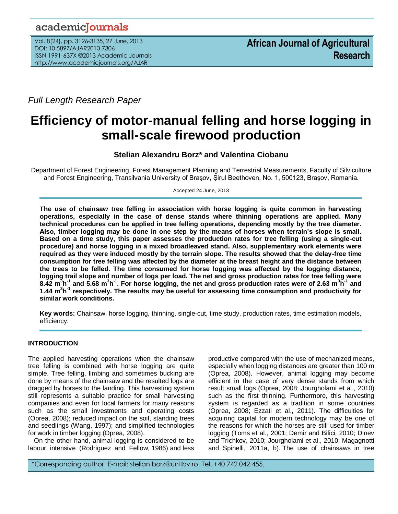# academicJournals

Vol. 8(24), pp. 3126-3135, 27 June, 2013 DOI: 10.5897/AJAR2013.7306 ISSN 1991-637X ©2013 Academic Journals http://www.academicjournals.org/AJAR

*Full Length Research Paper*

# **Efficiency of motor-manual felling and horse logging in small-scale firewood production**

**Stelian Alexandru Borz\* and Valentina Ciobanu**

Department of Forest Engineering, Forest Management Planning and Terrestrial Measurements, Faculty of Silviculture and Forest Engineering, Transilvania University of Braşov, Şirul Beethoven, No. 1, 500123, Braşov, Romania.

Accepted 24 June, 2013

**The use of chainsaw tree felling in association with horse logging is quite common in harvesting operations, especially in the case of dense stands where thinning operations are applied. Many technical procedures can be applied in tree felling operations, depending mostly by the tree diameter. Also, timber logging may be done in one step by the means of horses when terrain's slope is small. Based on a time study, this paper assesses the production rates for tree felling (using a single-cut procedure) and horse logging in a mixed broadleaved stand. Also, supplementary work elements were required as they were induced mostly by the terrain slope. The results showed that the delay-free time consumption for tree felling was affected by the diameter at the breast height and the distance between the trees to be felled. The time consumed for horse logging was affected by the logging distance, logging trail slope and number of logs per load. The net and gross production rates for tree felling were 8.42 m<sup>3</sup> h -1 and 5.68 m 3 h -1 . For horse logging, the net and gross production rates were of 2.63 m<sup>3</sup> h -1 and 1.44 m<sup>3</sup> h -1 respectively. The results may be useful for assessing time consumption and productivity for similar work conditions.**

**Key words:** Chainsaw, horse logging, thinning, single-cut, time study, production rates, time estimation models, efficiency.

# **INTRODUCTION**

The applied harvesting operations when the chainsaw tree felling is combined with horse logging are quite simple. Tree felling, limbing and sometimes bucking are done by means of the chainsaw and the resulted logs are dragged by horses to the landing. This harvesting system still represents a suitable practice for small harvesting companies and even for local farmers for many reasons such as the small investments and operating costs (Oprea, 2008); reduced impact on the soil, standing trees and seedlings (Wang, 1997); and simplified technologies for work in timber logging (Oprea, 2008).

On the other hand, animal logging is considered to be labour intensive (Rodriguez and Fellow, 1986) and less productive compared with the use of mechanized means, especially when logging distances are greater than 100 m (Oprea, 2008). However, animal logging may become efficient in the case of very dense stands from which result small logs (Oprea, 2008; Jourgholami et al., 2010) such as the first thinning. Furthermore, this harvesting system is regarded as a tradition in some countries (Oprea, 2008; Ezzati et al., 2011). The difficulties for acquiring capital for modern technology may be one of the reasons for which the horses are still used for timber logging (Toms et al., 2001; Demir and Bilici, 2010; Dinev and Trichkov, 2010; Jourgholami et al., 2010; Magagnotti and Spinelli, 2011a, b). The use of chainsaws in tree

\*Corresponding author. E-mail: stelian.borz@unitbv.ro. Tel. +40 742 042 455.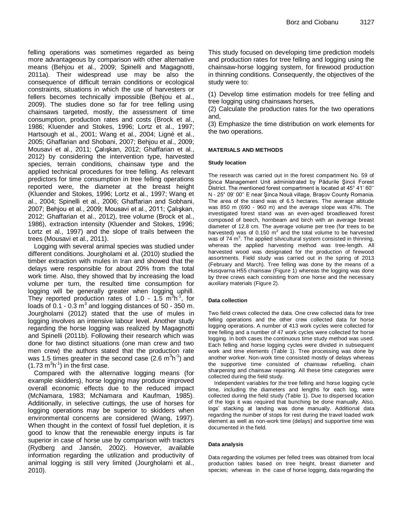felling operations was sometimes regarded as being more advantageous by comparison with other alternative means (Behjou et al., 2009; Spinelli and Magagnotti, 2011a). Their widespread use may be also the consequence of difficult terrain conditions or ecological constraints, situations in which the use of harvesters or fellers becomes technically impossible (Behjou et al., 2009). The studies done so far for tree felling using chainsaws targeted, mostly, the assessment of time consumption, production rates and costs (Brock et al., 1986; Kluender and Stokes, 1996; Lortz et al., 1997; Hartsough et al., 2001; Wang et al., 2004; Ligné et al., 2005; Ghaffarian and Shobani, 2007; Behjou et al., 2009; Mousavi et al., 2011; Çalışkan, 2012; Ghaffarian et al., 2012) by considering the intervention type, harvested species, terrain conditions, chainsaw type and the applied technical procedures for tree felling. As relevant predictors for time consumption in tree felling operations reported were, the diameter at the breast height (Kluender and Stokes, 1996; Lortz et al., 1997; Wang et al., 2004; Spinelli et al., 2006; Ghaffarian and Sobhani, 2007; Behjou et al., 2009; Mousavi et al., 2011; Çalışkan, 2012; Ghaffarian et al., 2012), tree volume (Brock et al., 1986), extraction intensity (Kluender and Stokes, 1996; Lortz et al., 1997) and the slope of trails between the trees (Mousavi et al., 2011).

Logging with several animal species was studied under different conditions. Jourgholami et al. (2010) studied the timber extraction with mules in Iran and showed that the delays were responsible for about 20% from the total work time. Also, they showed that by increasing the load volume per turn, the resulted time consumption for logging will be generally greater when logging uphill. They reported production rates of 1.0 - 1.5  $\mathrm{m}^3\mathrm{h}^{\text{-}1}$ , for loads of 0.1 - 0.3  $m^3$  and logging distances of 50 - 350 m. Jourgholami (2012) stated that the use of mules in logging involves an intensive labour level. Another study regarding the horse logging was realized by Magagnotti and Spinelli (2011b). Following their research which was done for two distinct situations (one man crew and two men crew) the authors stated that the production rate was 1.5 times greater in the second case  $(2.6 \text{ m}^3 \text{h}^{\text{-}1})$  and  $(1.73 \text{ m}^3 \text{h}^{-1})$  in the first case.

Compared with the alternative logging means (for example skidders), horse logging may produce improved overall economic effects due to the reduced impact (McNamara, 1983; McNamara and Kaufman, 1985). Additionally, in selective cuttings, the use of horses for logging operations may be superior to skidders when environmental concerns are considered (Wang, 1997). When thought in the context of fossil fuel depletion, it is good to know that the renewable energy inputs is far superior in case of horse use by comparison with tractors (Rydberg and Jansén, 2002). However, available information regarding the utilization and productivity of animal logging is still very limited (Jourgholami et al., 2010).

This study focused on developing time prediction models and production rates for tree felling and logging using the chainsaw-horse logging system, for firewood production in thinning conditions. Consequently, the objectives of the study were to:

(1) Develop time estimation models for tree felling and tree logging using chainsaws horses,

(2) Calculate the production rates for the two operations and,

(3) Emphasize the time distribution on work elements for the two operations.

#### **MATERIALS AND METHODS**

#### **Study location**

The research was carried out in the forest compartment No. 59 of Şinca Management Unit administrated by Pădurile Şincii Forest District. The mentioned forest compartment is located at 45° 41' 60'' N - 25° 09' 00'' E near Şinca Nouă village, Braşov County Romania. The area of the stand was of 6.5 hectares. The average altitude was 850 m (690 - 960 m) and the average slope was 47%. The investigated forest stand was an even-aged broadleaved forest composed of beech, hornbeam and birch with an average breast diameter of 12.8 cm. The average volume per tree (for trees to be harvested) was of 0.150  $m^3$  and the total volume to be harvested was of 74  $\text{m}^3$ . The applied silvicultural system consisted in thinning, whereas the applied harvesting method was tree-length. All harvested wood was designated for the production of firewood assortments. Field study was carried out in the spring of 2013 (February and March). Tree felling was done by the means of a Husqvarna H55 chainsaw (Figure 1) whereas the logging was done by three crews each consisting from one horse and the necessary auxiliary materials (Figure 2).

#### **Data collection**

Two field crews collected the data. One crew collected data for tree felling operations and the other crew collected data for horse logging operations. A number of 413 work cycles were collected for tree felling and a number of 47 work cycles were collected for horse logging. In both cases the continuous time study method was used. Each felling and horse logging cycles were divided in subsequent work and time elements (Table 1). Tree processing was done by another worker. Non-work time consisted mostly of delays whereas the supportive time consisted of chainsaw refuelling, chain sharpening and chainsaw repairing. All these time categories were collected during the field study.

Independent variables for the tree felling and horse logging cycle time, including the diameters and lengths for each log, were collected during the field study (Table 1). Due to dispersed location of the logs it was required that bunching be done manually. Also, logs' stacking at landing was done manually. Additional data regarding the number of stops for rest during the travel loaded work element as well as non-work time (delays) and supportive time was documented in the field.

#### **Data analysis**

Data regarding the volumes per felled trees was obtained from local production tables based on tree height, breast diameter and species; whereas in the case of horse logging, data regarding the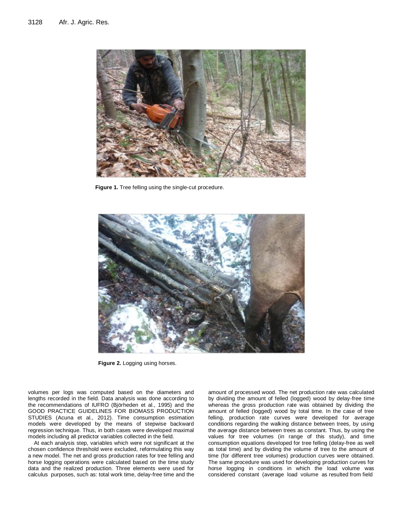

**Figure 1.** Tree felling using the single-cut procedure.



**Figure 2.** Logging using horses.

volumes per logs was computed based on the diameters and lengths recorded in the field. Data analysis was done according to the recommendations of IUFRO (Björheden et al., 1995) and the GOOD PRACTICE GUIDELINES FOR BIOMASS PRODUCTION STUDIES (Acuna et al., 2012). Time consumption estimation models were developed by the means of stepwise backward regression technique. Thus, in both cases were developed maximal models including all predictor variables collected in the field.

At each analysis step, variables which were not significant at the chosen confidence threshold were excluded, reformulating this way a new model. The net and gross production rates for tree felling and horse logging operations were calculated based on the time study data and the realized production. Three elements were used for calculus purposes, such as: total work time, delay-free time and the amount of processed wood. The net production rate was calculated by dividing the amount of felled (logged) wood by delay-free time whereas the gross production rate was obtained by dividing the amount of felled (logged) wood by total time. In the case of tree felling, production rate curves were developed for average conditions regarding the walking distance between trees, by using the average distance between trees as constant. Thus, by using the values for tree volumes (in range of this study), and time consumption equations developed for tree felling (delay-free as well as total time) and by dividing the volume of tree to the amount of time (for different tree volumes) production curves were obtained. The same procedure was used for developing production curves for horse logging in conditions in which the load volume was considered constant (average load volume as resulted from field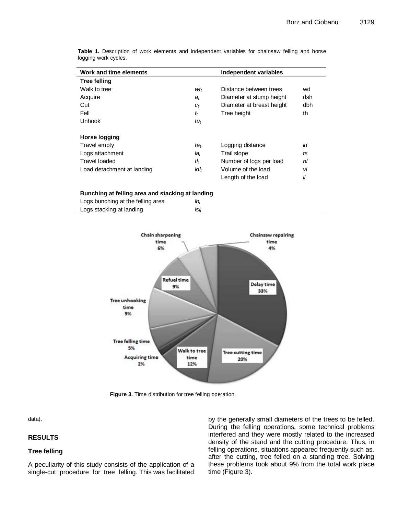| Work and time elements     |                  | Independent variables     |     |
|----------------------------|------------------|---------------------------|-----|
| <b>Tree felling</b>        |                  |                           |     |
| Walk to tree               | wt <sub>t</sub>  | Distance between trees    | wd  |
| Acquire                    | $a_t$            | Diameter at stump height  | dsh |
| Cut                        | $C_t$            | Diameter at breast height | dbh |
| Fell                       | $f_t$            | Tree height               | th  |
| Unhook                     | tu <sub>t</sub>  |                           |     |
|                            |                  |                           |     |
| Horse logging              |                  |                           |     |
| Travel empty               | $te_t$           | Logging distance          | ld  |
| Logs attachment            | $Ia_t$           | Trail slope               | ts  |
| Travel loaded              | tŀ               | Number of logs per load   | nl  |
| Load detachment at landing | ldl <sub>t</sub> | Volume of the load        | vl  |
|                            |                  | Length of the load        | II  |

**Table 1.** Description of work elements and independent variables for chainsaw felling and horse logging work cycles.

#### **Bunching at felling area and stacking at landing**

| Logs bunching at the felling area | lb,  |  |
|-----------------------------------|------|--|
| Logs stacking at landing          | lslı |  |



**Figure 3.** Time distribution for tree felling operation.

data).

## **RESULTS**

## **Tree felling**

A peculiarity of this study consists of the application of a single-cut procedure for tree felling. This was facilitated

by the generally small diameters of the trees to be felled. During the felling operations, some technical problems interfered and they were mostly related to the increased density of the stand and the cutting procedure. Thus, in felling operations, situations appeared frequently such as, after the cutting, tree felled on a standing tree. Solving these problems took about 9% from the total work place time (Figure 3).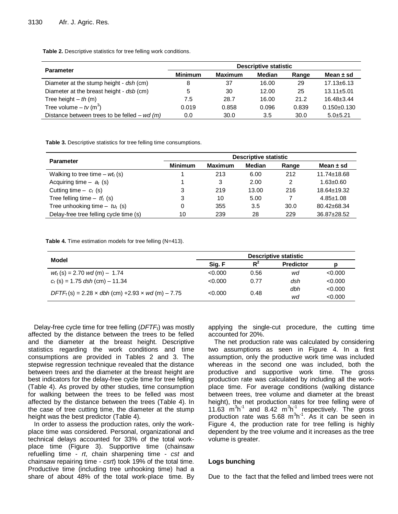**Table 2.** Descriptive statistics for tree felling work conditions.

|                                               | Descriptive statistic |                |        |       |                   |  |  |
|-----------------------------------------------|-----------------------|----------------|--------|-------|-------------------|--|--|
| <b>Parameter</b>                              | <b>Minimum</b>        | <b>Maximum</b> | Median | Range | Mean $\pm$ sd     |  |  |
| Diameter at the stump height - dsh (cm)       | 8                     | 37             | 16.00  | 29    | $17.13 \pm 6.13$  |  |  |
| Diameter at the breast height - dsb (cm)      | 5                     | 30             | 12.00  | 25    | $13.11 \pm 5.01$  |  |  |
| Tree height $-th$ (m)                         | 7.5                   | 28.7           | 16.00  | 21.2  | $16.48 \pm 3.44$  |  |  |
| Tree volume $-$ tv (m <sup>3</sup> )          | 0.019                 | 0.858          | 0.096  | 0.839 | $0.150 \pm 0.130$ |  |  |
| Distance between trees to be felled – $wd(m)$ | 0.0                   | 30.0           | 3.5    | 30.0  | $5.0 + 5.21$      |  |  |

**Table 3.** Descriptive statistics for tree felling time consumptions.

| <b>Parameter</b>                            | Descriptive statistic |                |        |       |                   |  |
|---------------------------------------------|-----------------------|----------------|--------|-------|-------------------|--|
|                                             | <b>Minimum</b>        | <b>Maximum</b> | Median | Range | Mean $\pm$ sd     |  |
| Walking to tree time $- w t_t(s)$           |                       | 213            | 6.00   | 212   | $11.74 \pm 18.68$ |  |
| Acquiring time $ a_t$ (s)                   |                       | 3              | 2.00   | 2     | $1.63 + 0.60$     |  |
| Cutting time $-c_t$ (s)                     | 3                     | 219            | 13.00  | 216   | 18.64±19.32       |  |
| Tree felling time $ tf_t$ (s)               | 3                     | 10             | 5.00   |       | $4.85 \pm 1.08$   |  |
| Tree unhooking time $-$ tu <sub>t</sub> (s) |                       | 355            | 3.5    | 30.0  | 80.42±68.34       |  |
| Delay-free tree felling cycle time (s)      | 10                    | 239            | 28     | 229   | 36.87±28.52       |  |

**Table 4.** Time estimation models for tree felling (N=413).

|                                                          | Descriptive statistic |      |                  |         |  |
|----------------------------------------------------------|-----------------------|------|------------------|---------|--|
| Model                                                    | $R^2$<br>Sig. F       |      | <b>Predictor</b> | D       |  |
| $wt_t(s) = 2.70$ wd (m) - 1.74                           | < 0.000               | 0.56 | wd               | < 0.000 |  |
| $c_t$ (s) = 1.75 dsh (cm) – 11.34                        | < 0.000               | 0.77 | dsh              | < 0.000 |  |
| $DFTF_t(s) = 2.28 \times dbh$ (cm) +2.93 x wd (m) – 7.75 | < 0.000               | 0.48 | dbh              | < 0.000 |  |
|                                                          |                       |      | wd               | < 0.000 |  |

Delay-free cycle time for tree felling (*DFTFt*) was mostly affected by the distance between the trees to be felled and the diameter at the breast height. Descriptive statistics regarding the work conditions and time consumptions are provided in Tables 2 and 3. The stepwise regression technique revealed that the distance between trees and the diameter at the breast height are best indicators for the delay-free cycle time for tree felling (Table 4). As proved by other studies, time consumption for walking between the trees to be felled was most affected by the distance between the trees (Table 4). In the case of tree cutting time, the diameter at the stump height was the best predictor (Table 4).

In order to assess the production rates, only the workplace time was considered. Personal, organizational and technical delays accounted for 33% of the total workplace time (Figure 3). Supportive time (chainsaw refuelling time - *rt*, chain sharpening time - *cst* and chainsaw repairing time - *csrt*) took 19% of the total time. Productive time (including tree unhooking time) had a share of about 48% of the total work-place time. By applying the single-cut procedure, the cutting time accounted for 20%.

The net production rate was calculated by considering two assumptions as seen in Figure 4. In a first assumption, only the productive work time was included whereas in the second one was included, both the productive and supportive work time. The gross production rate was calculated by including all the workplace time. For average conditions (walking distance between trees, tree volume and diameter at the breast height), the net production rates for tree felling were of  $11.\overline{63}$   $\overline{m}^3h^{-1}$  and 8.42  $\overline{m}^3h^{-1}$  respectively. The gross production rate was 5.68  $m^3h^1$ . As it can be seen in Figure 4, the production rate for tree felling is highly dependent by the tree volume and it increases as the tree volume is greater.

#### **Logs bunching**

Due to the fact that the felled and limbed trees were not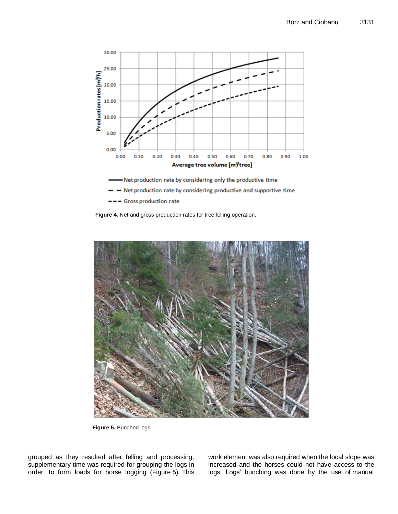

Net production rate by considering only the productive time

- Net production rate by considering productive and supportive time
- --- Gross production rate





**Figure 5.** Bunched logs.

grouped as they resulted after felling and processing, supplementary time was required for grouping the logs in order to form loads for horse logging (Figure 5). This work element was also required when the local slope was increased and the horses could not have access to the logs. Logs' bunching was done by the use of manual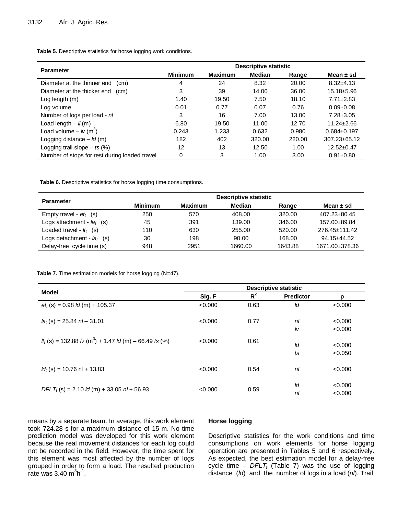**Table 5.** Descriptive statistics for horse logging work conditions.

| <b>Parameter</b>                              | Descriptive statistic |                |               |        |                    |  |
|-----------------------------------------------|-----------------------|----------------|---------------|--------|--------------------|--|
|                                               | <b>Minimum</b>        | <b>Maximum</b> | <b>Median</b> | Range  | Mean $\pm$ sd      |  |
| Diameter at the thinner end<br>(cm)           | 4                     | 24             | 8.32          | 20.00  | $8.32 + 4.13$      |  |
| Diameter at the thicker end<br>(cm)           | 3                     | 39             | 14.00         | 36.00  | 15.18±5.96         |  |
| Log length (m)                                | 1.40                  | 19.50          | 7.50          | 18.10  | $7.71 \pm 2.83$    |  |
| Log volume                                    | 0.01                  | 0.77           | 0.07          | 0.76   | $0.09 + 0.08$      |  |
| Number of logs per load - nl                  | 3                     | 16             | 7.00          | 13.00  | $7.28 \pm 3.05$    |  |
| Load length $ \mathcal{U}(m)$                 | 6.80                  | 19.50          | 11.00         | 12.70  | $11.24 \pm 2.66$   |  |
| Load volume – $lv$ (m <sup>3</sup> )          | 0.243                 | 1.233          | 0.632         | 0.980  | $0.684 \pm 0.197$  |  |
| Logging distance $-$ <i>ld</i> (m)            | 182                   | 402            | 320.00        | 220.00 | $307.23 \pm 65.12$ |  |
| Logging trail slope $-$ ts (%)                | 12                    | 13             | 12.50         | 1.00   | $12.52 \pm 0.47$   |  |
| Number of stops for rest during loaded travel | 0                     | 3              | 1.00          | 3.00   | $0.91 \pm 0.80$    |  |

**Table 6.** Descriptive statistics for horse logging time consumptions.

|                              | Descriptive statistic |                |               |         |                |  |  |
|------------------------------|-----------------------|----------------|---------------|---------|----------------|--|--|
| <b>Parameter</b>             | <b>Minimum</b>        | <b>Maximum</b> | <b>Median</b> | Range   | Mean $\pm$ sd  |  |  |
| Empty travel - $et_t$ (s)    | 250                   | 570            | 408.00        | 320.00  | 407.23±80.45   |  |  |
| Logs attachment - $la_t$ (s) | 45                    | 391            | 139.00        | 346.00  | 157.00±89.84   |  |  |
| Loaded travel - $lt_t$ (s)   | 110                   | 630            | 255.00        | 520.00  | 276.45±111.42  |  |  |
| Logs detachment - $la_t$ (s) | 30                    | 198            | 90.00         | 168.00  | 94.15±44.52    |  |  |
| Delay-free cycle time (s)    | 948                   | 2951           | 1660.00       | 1643.88 | 1671.00±378.36 |  |  |

**Table 7.** Time estimation models for horse logging (N=47).

|                                                                          | Descriptive statistic |       |                  |         |  |
|--------------------------------------------------------------------------|-----------------------|-------|------------------|---------|--|
| <b>Model</b>                                                             | Sig. F                | $R^2$ | <b>Predictor</b> | р       |  |
| $et_t$ (s) = 0.98 <i>ld</i> (m) + 105.37                                 | < 0.000               | 0.63  | ld               | < 0.000 |  |
| $la_t$ (s) = 25.84 nl – 31.01                                            | < 0.000               | 0.77  | nl               | < 0.000 |  |
|                                                                          |                       |       | lv               | < 0.000 |  |
| $t_{t}$ (s) = 132.88 $\sqrt{m^{3}}$ + 1.47 $\sqrt{m}$ (m) – 66.49 ts (%) | < 0.000               | 0.61  |                  |         |  |
|                                                                          |                       |       | ld               | < 0.000 |  |
|                                                                          |                       |       | ts               | < 0.050 |  |
| $Id_t$ (s) = 10.76 nl + 13.83                                            | < 0.000               | 0.54  | nl               | < 0.000 |  |
| $DFLT_t$ (s) = 2.10 <i>ld</i> (m) + 33.05 <i>nl</i> + 56.93              | < 0.000               | 0.59  | ld               | < 0.000 |  |
|                                                                          |                       |       | nl               | < 0.000 |  |

means by a separate team. In average, this work element took 724.28 s for a maximum distance of 15 m. No time prediction model was developed for this work element because the real movement distances for each log could not be recorded in the field. However, the time spent for this element was most affected by the number of logs grouped in order to form a load. The resulted production rate was 3.40  $m^3h^1$ .

# **Horse logging**

Descriptive statistics for the work conditions and time consumptions on work elements for horse logging operation are presented in Tables 5 and 6 respectively. As expected, the best estimation model for a delay-free cycle time  $-$  *DFLT<sub>t</sub>* (Table 7) was the use of logging distance (*ld*) and the number of logs in a load (*nl*). Trail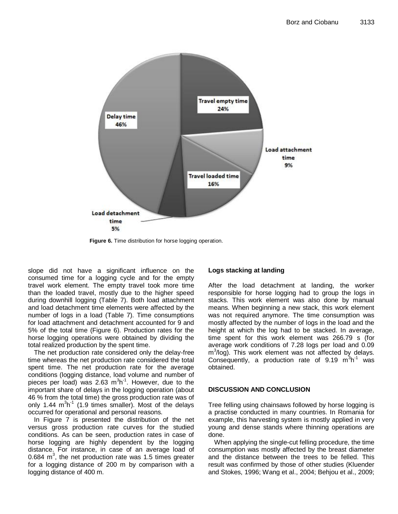

**Figure 6.** Time distribution for horse logging operation.

slope did not have a significant influence on the consumed time for a logging cycle and for the empty travel work element. The empty travel took more time than the loaded travel, mostly due to the higher speed during downhill logging (Table 7). Both load attachment and load detachment time elements were affected by the number of logs in a load (Table 7). Time consumptions for load attachment and detachment accounted for 9 and 5% of the total time (Figure 6). Production rates for the horse logging operations were obtained by dividing the total realized production by the spent time.

The net production rate considered only the delay-free time whereas the net production rate considered the total spent time. The net production rate for the average conditions (logging distance, load volume and number of pieces per load) was 2.63  $m^3h^1$ . However, due to the important share of delays in the logging operation (about 46 % from the total time) the gross production rate was of only 1.44  $m^3h^{-1}$  (1.9 times smaller). Most of the delays occurred for operational and personal reasons.

In Figure 7 is presented the distribution of the net versus gross production rate curves for the studied conditions. As can be seen, production rates in case of horse logging are highly dependent by the logging distance. For instance, in case of an average load of 0.684  $m<sup>3</sup>$ , the net production rate was 1.5 times greater for a logging distance of 200 m by comparison with a logging distance of 400 m.

#### **Logs stacking at landing**

After the load detachment at landing, the worker responsible for horse logging had to group the logs in stacks. This work element was also done by manual means. When beginning a new stack, this work element was not required anymore. The time consumption was mostly affected by the number of logs in the load and the height at which the log had to be stacked. In average, time spent for this work element was 266.79 s (for average work conditions of 7.28 logs per load and 0.09 m<sup>3</sup>/log). This work element was not affected by delays. Consequently, a production rate of  $9.19 \text{ m}^3\text{h}^1$  was obtained.

#### **DISCUSSION AND CONCLUSION**

Tree felling using chainsaws followed by horse logging is a practise conducted in many countries. In Romania for example, this harvesting system is mostly applied in very young and dense stands where thinning operations are done.

When applying the single-cut felling procedure, the time consumption was mostly affected by the breast diameter and the distance between the trees to be felled. This result was confirmed by those of other studies (Kluender and Stokes, 1996; Wang et al., 2004; Behjou et al., 2009;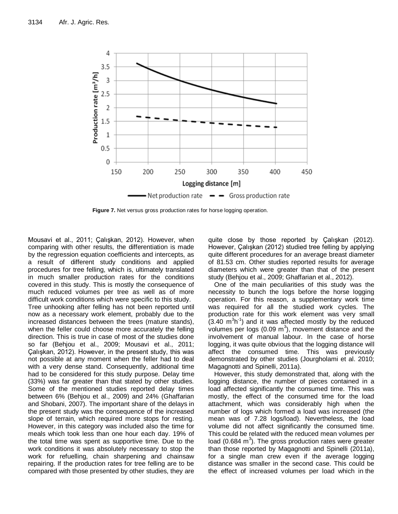

**Figure 7.** Net versus gross production rates for horse logging operation.

Mousavi et al., 2011; Çalışkan, 2012). However, when comparing with other results, the differentiation is made by the regression equation coefficients and intercepts, as a result of different study conditions and applied procedures for tree felling, which is, ultimately translated in much smaller production rates for the conditions covered in this study. This is mostly the consequence of much reduced volumes per tree as well as of more difficult work conditions which were specific to this study. Tree unhooking after felling has not been reported until now as a necessary work element, probably due to the increased distances between the trees (mature stands), when the feller could choose more accurately the felling direction. This is true in case of most of the studies done so far (Behjou et al., 2009; Mousavi et al., 2011; Çalışkan, 2012). However, in the present study, this was not possible at any moment when the feller had to deal with a very dense stand. Consequently, additional time had to be considered for this study purpose. Delay time (33%) was far greater than that stated by other studies. Some of the mentioned studies reported delay times between 6% (Behjou et al., 2009) and 24% (Ghaffarian and Shobani, 2007). The important share of the delays in the present study was the consequence of the increased slope of terrain, which required more stops for resting. However, in this category was included also the time for meals which took less than one hour each day. 19% of the total time was spent as supportive time. Due to the work conditions it was absolutely necessary to stop the work for refuelling, chain sharpening and chainsaw repairing. If the production rates for tree felling are to be compared with those presented by other studies, they are quite close by those reported by Çalışkan (2012). However, Çalışkan (2012) studied tree felling by applying quite different procedures for an average breast diameter of 81.53 cm. Other studies reported results for average diameters which were greater than that of the present study (Behjou et al., 2009; Ghaffarian et al., 2012).

One of the main peculiarities of this study was the necessity to bunch the logs before the horse logging operation. For this reason, a supplementary work time was required for all the studied work cycles. The production rate for this work element was very small  $(3.40 \text{ m}^3 \text{h}^1)$  and it was affected mostly by the reduced volumes per logs (0.09  $m^3$ ), movement distance and the involvement of manual labour. In the case of horse logging, it was quite obvious that the logging distance will affect the consumed time. This was previously demonstrated by other studies (Jourgholami et al. 2010; Magagnotti and Spinelli, 2011a).

However, this study demonstrated that, along with the logging distance, the number of pieces contained in a load affected significantly the consumed time. This was mostly, the effect of the consumed time for the load attachment, which was considerably high when the number of logs which formed a load was increased (the mean was of 7.28 logs/load). Nevertheless, the load volume did not affect significantly the consumed time. This could be related with the reduced mean volumes per load (0.684  $m<sup>3</sup>$ ). The gross production rates were greater than those reported by Magagnotti and Spinelli (2011a), for a single man crew even if the average logging distance was smaller in the second case. This could be the effect of increased volumes per load which in the